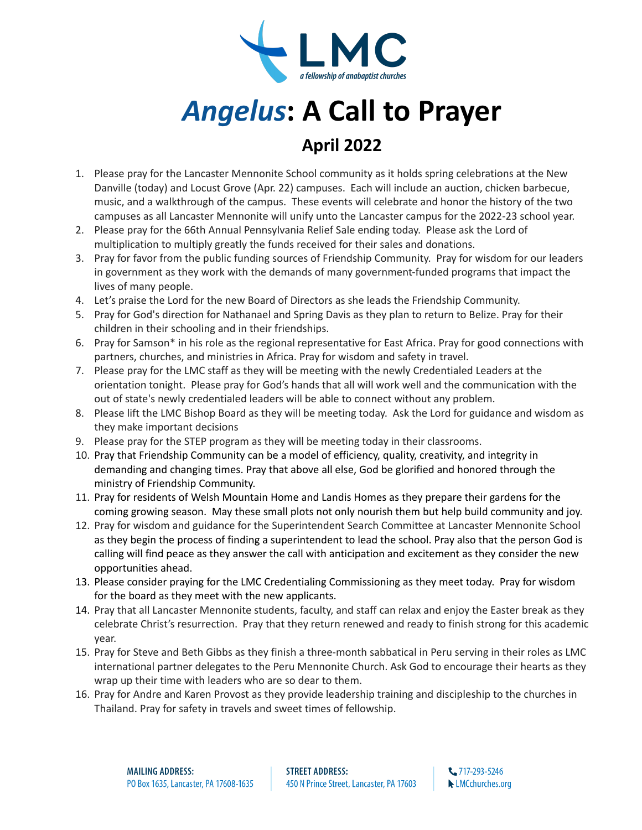

## *Angelus***: A Call to Prayer**

## **April 2022**

- 1. Please pray for the Lancaster Mennonite School community as it holds spring celebrations at the New Danville (today) and Locust Grove (Apr. 22) campuses. Each will include an auction, chicken barbecue, music, and a walkthrough of the campus. These events will celebrate and honor the history of the two campuses as all Lancaster Mennonite will unify unto the Lancaster campus for the 2022-23 school year.
- 2. Please pray for the 66th Annual Pennsylvania Relief Sale ending today. Please ask the Lord of multiplication to multiply greatly the funds received for their sales and donations.
- 3. Pray for favor from the public funding sources of Friendship Community. Pray for wisdom for our leaders in government as they work with the demands of many government-funded programs that impact the lives of many people.
- 4. Let's praise the Lord for the new Board of Directors as she leads the Friendship Community.
- 5. Pray for God's direction for Nathanael and Spring Davis as they plan to return to Belize. Pray for their children in their schooling and in their friendships.
- 6. Pray for Samson\* in his role as the regional representative for East Africa. Pray for good connections with partners, churches, and ministries in Africa. Pray for wisdom and safety in travel.
- 7. Please pray for the LMC staff as they will be meeting with the newly Credentialed Leaders at the orientation tonight. Please pray for God's hands that all will work well and the communication with the out of state's newly credentialed leaders will be able to connect without any problem.
- 8. Please lift the LMC Bishop Board as they will be meeting today. Ask the Lord for guidance and wisdom as they make important decisions
- 9. Please pray for the STEP program as they will be meeting today in their classrooms.
- 10. Pray that Friendship Community can be a model of efficiency, quality, creativity, and integrity in demanding and changing times. Pray that above all else, God be glorified and honored through the ministry of Friendship Community.
- 11. Pray for residents of Welsh Mountain Home and Landis Homes as they prepare their gardens for the coming growing season. May these small plots not only nourish them but help build community and joy.
- 12. Pray for wisdom and guidance for the Superintendent Search Committee at Lancaster Mennonite School as they begin the process of finding a superintendent to lead the school. Pray also that the person God is calling will find peace as they answer the call with anticipation and excitement as they consider the new opportunities ahead.
- 13. Please consider praying for the LMC Credentialing Commissioning as they meet today. Pray for wisdom for the board as they meet with the new applicants.
- 14. Pray that all Lancaster Mennonite students, faculty, and staff can relax and enjoy the Easter break as they celebrate Christ's resurrection. Pray that they return renewed and ready to finish strong for this academic year.
- 15. Pray for Steve and Beth Gibbs as they finish a three-month sabbatical in Peru serving in their roles as LMC international partner delegates to the Peru Mennonite Church. Ask God to encourage their hearts as they wrap up their time with leaders who are so dear to them.
- 16. Pray for Andre and Karen Provost as they provide leadership training and discipleship to the churches in Thailand. Pray for safety in travels and sweet times of fellowship.